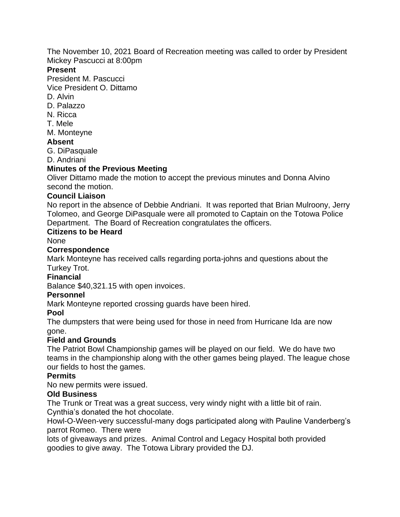The November 10, 2021 Board of Recreation meeting was called to order by President Mickey Pascucci at 8:00pm

#### **Present**

President M. Pascucci

Vice President O. Dittamo

- D. Alvin
- D. Palazzo
- N. Ricca
- T. Mele
- M. Monteyne

## **Absent**

G. DiPasquale

D. Andriani

# **Minutes of the Previous Meeting**

Oliver Dittamo made the motion to accept the previous minutes and Donna Alvino second the motion.

## **Council Liaison**

No report in the absence of Debbie Andriani. It was reported that Brian Mulroony, Jerry Tolomeo, and George DiPasquale were all promoted to Captain on the Totowa Police Department. The Board of Recreation congratulates the officers.

## **Citizens to be Heard**

None

## **Correspondence**

Mark Monteyne has received calls regarding porta-johns and questions about the Turkey Trot.

#### **Financial**

Balance \$40,321.15 with open invoices.

#### **Personnel**

Mark Monteyne reported crossing guards have been hired.

## **Pool**

The dumpsters that were being used for those in need from Hurricane Ida are now gone.

## **Field and Grounds**

The Patriot Bowl Championship games will be played on our field. We do have two teams in the championship along with the other games being played. The league chose our fields to host the games.

## **Permits**

No new permits were issued.

## **Old Business**

The Trunk or Treat was a great success, very windy night with a little bit of rain. Cynthia's donated the hot chocolate.

Howl-O-Ween-very successful-many dogs participated along with Pauline Vanderberg's parrot Romeo. There were

lots of giveaways and prizes. Animal Control and Legacy Hospital both provided goodies to give away. The Totowa Library provided the DJ.